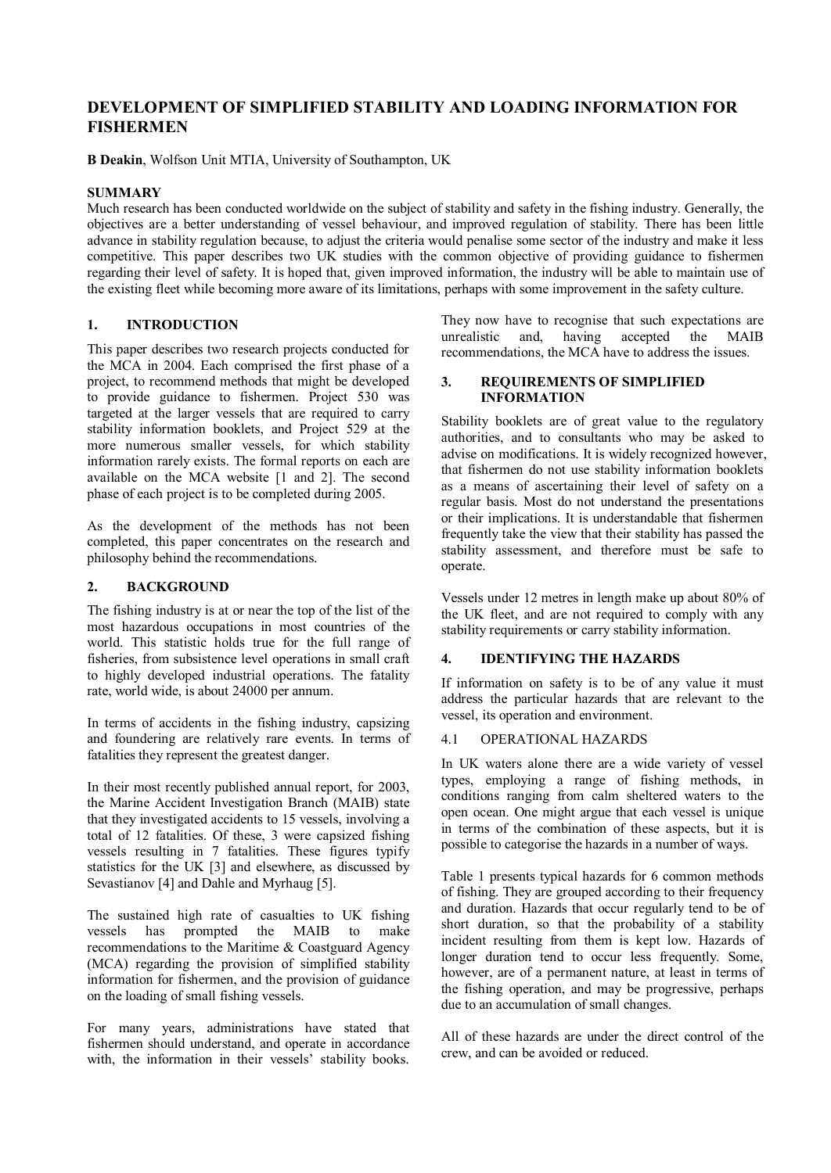# **DEVELOPMENT OF SIMPLIFIED STABILITY AND LOADING INFORMATION FOR FISHERMEN**

**B Deakin**, Wolfson Unit MTIA, University of Southampton, UK

### **SUMMARY**

Much research has been conducted worldwide on the subject of stability and safety in the fishing industry. Generally, the objectives are a better understanding of vessel behaviour, and improved regulation of stability. There has been little advance in stability regulation because, to adjust the criteria would penalise some sector of the industry and make it less competitive. This paper describes two UK studies with the common objective of providing guidance to fishermen regarding their level of safety. It is hoped that, given improved information, the industry will be able to maintain use of the existing fleet while becoming more aware of its limitations, perhaps with some improvement in the safety culture.

## **1. INTRODUCTION**

This paper describes two research projects conducted for the MCA in 2004. Each comprised the first phase of a project, to recommend methods that might be developed to provide guidance to fishermen. Project 530 was targeted at the larger vessels that are required to carry stability information booklets, and Project 529 at the more numerous smaller vessels, for which stability information rarely exists. The formal reports on each are available on the MCA website [1 and 2]. The second phase of each project is to be completed during 2005.

As the development of the methods has not been completed, this paper concentrates on the research and philosophy behind the recommendations.

#### **2. BACKGROUND**

The fishing industry is at or near the top of the list of the most hazardous occupations in most countries of the world. This statistic holds true for the full range of fisheries, from subsistence level operations in small craft to highly developed industrial operations. The fatality rate, world wide, is about 24000 per annum.

In terms of accidents in the fishing industry, capsizing and foundering are relatively rare events. In terms of fatalities they represent the greatest danger.

In their most recently published annual report, for 2003, the Marine Accident Investigation Branch (MAIB) state that they investigated accidents to 15 vessels, involving a total of 12 fatalities. Of these, 3 were capsized fishing vessels resulting in 7 fatalities. These figures typify statistics for the UK [3] and elsewhere, as discussed by Sevastianov [4] and Dahle and Myrhaug [5].

The sustained high rate of casualties to UK fishing vessels has prompted the MAIB to make recommendations to the Maritime & Coastguard Agency (MCA) regarding the provision of simplified stability information for fishermen, and the provision of guidance on the loading of small fishing vessels.

For many years, administrations have stated that fishermen should understand, and operate in accordance with, the information in their vessels' stability books.

They now have to recognise that such expectations are unrealistic and, having accepted the MAIB recommendations, the MCA have to address the issues.

#### **3. REQUIREMENTS OF SIMPLIFIED INFORMATION**

Stability booklets are of great value to the regulatory authorities, and to consultants who may be asked to advise on modifications. It is widely recognized however, that fishermen do not use stability information booklets as a means of ascertaining their level of safety on a regular basis. Most do not understand the presentations or their implications. It is understandable that fishermen frequently take the view that their stability has passed the stability assessment, and therefore must be safe to operate.

Vessels under 12 metres in length make up about 80% of the UK fleet, and are not required to comply with any stability requirements or carry stability information.

# **4. IDENTIFYING THE HAZARDS**

If information on safety is to be of any value it must address the particular hazards that are relevant to the vessel, its operation and environment.

#### 4.1 OPERATIONAL HAZARDS

In UK waters alone there are a wide variety of vessel types, employing a range of fishing methods, in conditions ranging from calm sheltered waters to the open ocean. One might argue that each vessel is unique in terms of the combination of these aspects, but it is possible to categorise the hazards in a number of ways.

Table 1 presents typical hazards for 6 common methods of fishing. They are grouped according to their frequency and duration. Hazards that occur regularly tend to be of short duration, so that the probability of a stability incident resulting from them is kept low. Hazards of longer duration tend to occur less frequently. Some, however, are of a permanent nature, at least in terms of the fishing operation, and may be progressive, perhaps due to an accumulation of small changes.

All of these hazards are under the direct control of the crew, and can be avoided or reduced.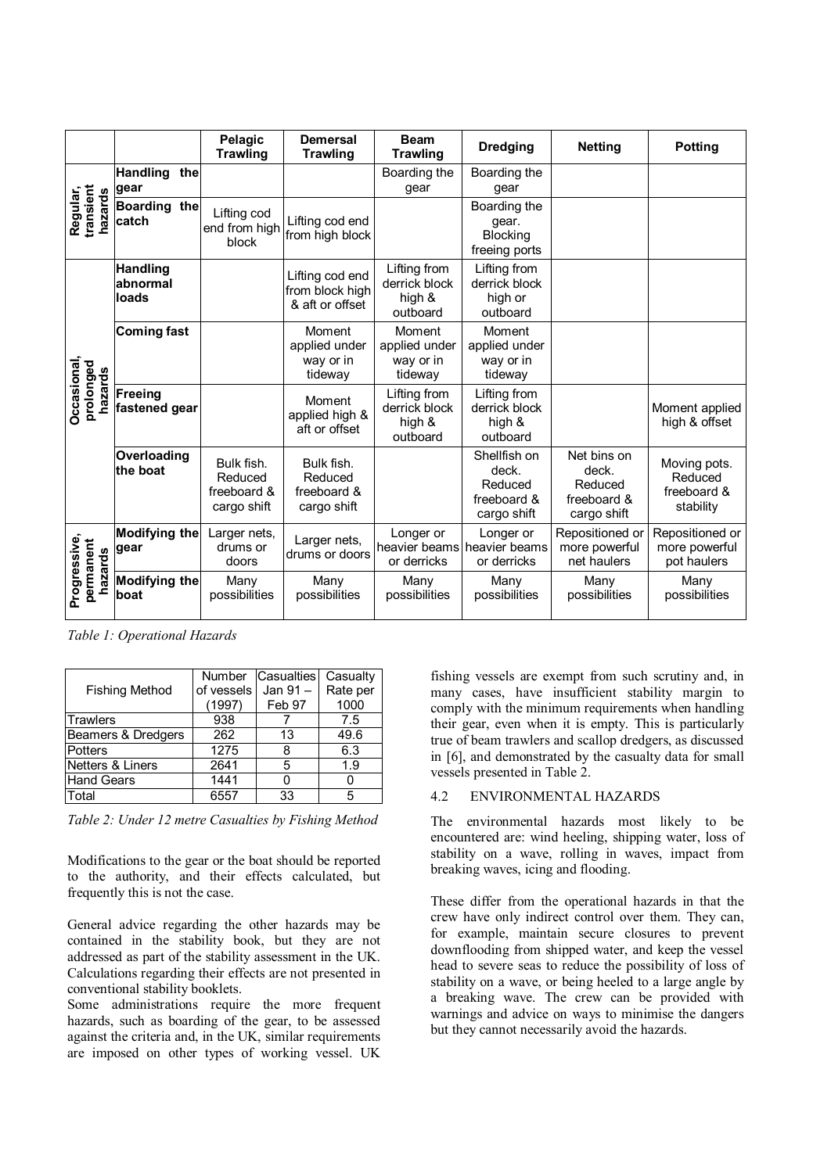|                                      |                                      | Pelagic<br><b>Trawling</b>                          | <b>Demersal</b><br><b>Trawling</b>                    | <b>Beam</b><br><b>Trawling</b>                      | <b>Dredging</b>                                                | <b>Netting</b>                                                | <b>Potting</b>                                      |
|--------------------------------------|--------------------------------------|-----------------------------------------------------|-------------------------------------------------------|-----------------------------------------------------|----------------------------------------------------------------|---------------------------------------------------------------|-----------------------------------------------------|
| transient<br>Regular,<br>hazards     | <b>Handling</b><br>the<br>gear       |                                                     |                                                       | Boarding the<br>gear                                | Boarding the<br>gear                                           |                                                               |                                                     |
|                                      | Boarding the<br>catch                | Lifting cod<br>end from high<br>block               | Lifting cod end<br>from high block                    |                                                     | Boarding the<br>gear.<br><b>Blocking</b><br>freeing ports      |                                                               |                                                     |
| Occasional,<br>prolonged<br>hazards  | <b>Handling</b><br>abnormal<br>loads |                                                     | Lifting cod end<br>from block high<br>& aft or offset | Lifting from<br>derrick block<br>high &<br>outboard | Lifting from<br>derrick block<br>high or<br>outboard           |                                                               |                                                     |
|                                      | <b>Coming fast</b>                   |                                                     | Moment<br>applied under<br>way or in<br>tideway       | Moment<br>applied under<br>way or in<br>tideway     | Moment<br>applied under<br>way or in<br>tideway                |                                                               |                                                     |
|                                      | <b>Freeing</b><br>fastened gear      |                                                     | Moment<br>applied high &<br>aft or offset             | Lifting from<br>derrick block<br>high &<br>outboard | Lifting from<br>derrick block<br>high &<br>outboard            |                                                               | Moment applied<br>high & offset                     |
|                                      | Overloading<br>the boat              | Bulk fish.<br>Reduced<br>freeboard &<br>cargo shift | Bulk fish.<br>Reduced<br>freeboard &<br>cargo shift   |                                                     | Shellfish on<br>deck.<br>Reduced<br>freeboard &<br>cargo shift | Net bins on<br>deck.<br>Reduced<br>freeboard &<br>cargo shift | Moving pots.<br>Reduced<br>freeboard &<br>stability |
| Progressive,<br>permanent<br>hazards | <b>Modifying the</b><br>gear         | Larger nets,<br>drums or<br>doors                   | Larger nets,<br>drums or doors                        | Longer or<br>or derricks                            | Longer or<br>heavier beams heavier beams<br>or derricks        | Repositioned or<br>more powerful<br>net haulers               | Repositioned or<br>more powerful<br>pot haulers     |
|                                      | Modifying the<br>boat                | Many<br>possibilities                               | Many<br>possibilities                                 | Many<br>possibilities                               | Many<br>possibilities                                          | Many<br>possibilities                                         | Many<br>possibilities                               |

*Table 1: Operational Hazards* 

|                       | <b>Number</b> | <b>Casualties</b> | Casualty |
|-----------------------|---------------|-------------------|----------|
| <b>Fishing Method</b> | of vessels    | Jan 91-           | Rate per |
|                       | (1997)        | Feb 97            | 1000     |
| Trawlers              | 938           |                   | 7.5      |
| Beamers & Dredgers    | 262           | 13                | 49.6     |
| Potters               | 1275          | 8                 | 6.3      |
| Netters & Liners      | 2641          | 5                 | 1.9      |
| <b>Hand Gears</b>     | 1441          |                   |          |
| Total                 | 6557          | 33                | 5        |

*Table 2: Under 12 metre Casualties by Fishing Method* 

Modifications to the gear or the boat should be reported to the authority, and their effects calculated, but frequently this is not the case.

General advice regarding the other hazards may be contained in the stability book, but they are not addressed as part of the stability assessment in the UK. Calculations regarding their effects are not presented in conventional stability booklets.

Some administrations require the more frequent hazards, such as boarding of the gear, to be assessed against the criteria and, in the UK, similar requirements are imposed on other types of working vessel. UK

fishing vessels are exempt from such scrutiny and, in many cases, have insufficient stability margin to comply with the minimum requirements when handling their gear, even when it is empty. This is particularly true of beam trawlers and scallop dredgers, as discussed in [6], and demonstrated by the casualty data for small vessels presented in Table 2.

#### 4.2 ENVIRONMENTAL HAZARDS

The environmental hazards most likely to be encountered are: wind heeling, shipping water, loss of stability on a wave, rolling in waves, impact from breaking waves, icing and flooding.

These differ from the operational hazards in that the crew have only indirect control over them. They can, for example, maintain secure closures to prevent downflooding from shipped water, and keep the vessel head to severe seas to reduce the possibility of loss of stability on a wave, or being heeled to a large angle by a breaking wave. The crew can be provided with warnings and advice on ways to minimise the dangers but they cannot necessarily avoid the hazards.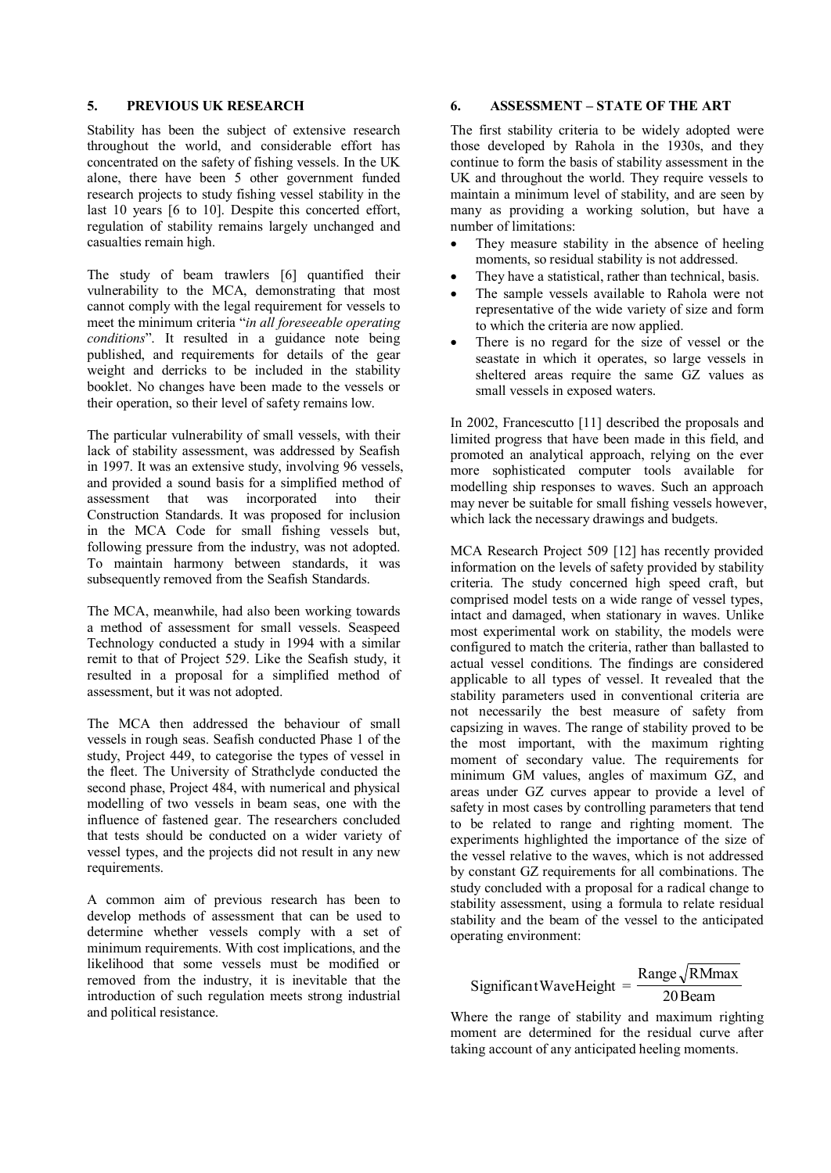### **5. PREVIOUS UK RESEARCH**

Stability has been the subject of extensive research throughout the world, and considerable effort has concentrated on the safety of fishing vessels. In the UK alone, there have been 5 other government funded research projects to study fishing vessel stability in the last 10 years [6 to 10]. Despite this concerted effort, regulation of stability remains largely unchanged and casualties remain high.

The study of beam trawlers [6] quantified their vulnerability to the MCA, demonstrating that most cannot comply with the legal requirement for vessels to meet the minimum criteria "*in all foreseeable operating conditions*". It resulted in a guidance note being published, and requirements for details of the gear weight and derricks to be included in the stability booklet. No changes have been made to the vessels or their operation, so their level of safety remains low.

The particular vulnerability of small vessels, with their lack of stability assessment, was addressed by Seafish in 1997. It was an extensive study, involving 96 vessels, and provided a sound basis for a simplified method of assessment that was incorporated into their Construction Standards. It was proposed for inclusion in the MCA Code for small fishing vessels but, following pressure from the industry, was not adopted. To maintain harmony between standards, it was subsequently removed from the Seafish Standards.

The MCA, meanwhile, had also been working towards a method of assessment for small vessels. Seaspeed Technology conducted a study in 1994 with a similar remit to that of Project 529. Like the Seafish study, it resulted in a proposal for a simplified method of assessment, but it was not adopted.

The MCA then addressed the behaviour of small vessels in rough seas. Seafish conducted Phase 1 of the study, Project 449, to categorise the types of vessel in the fleet. The University of Strathclyde conducted the second phase, Project 484, with numerical and physical modelling of two vessels in beam seas, one with the influence of fastened gear. The researchers concluded that tests should be conducted on a wider variety of vessel types, and the projects did not result in any new requirements.

A common aim of previous research has been to develop methods of assessment that can be used to determine whether vessels comply with a set of minimum requirements. With cost implications, and the likelihood that some vessels must be modified or removed from the industry, it is inevitable that the introduction of such regulation meets strong industrial and political resistance.

## **6. ASSESSMENT – STATE OF THE ART**

The first stability criteria to be widely adopted were those developed by Rahola in the 1930s, and they continue to form the basis of stability assessment in the UK and throughout the world. They require vessels to maintain a minimum level of stability, and are seen by many as providing a working solution, but have a number of limitations:

- They measure stability in the absence of heeling moments, so residual stability is not addressed.
- They have a statistical, rather than technical, basis.
- The sample vessels available to Rahola were not representative of the wide variety of size and form to which the criteria are now applied.
- There is no regard for the size of vessel or the seastate in which it operates, so large vessels in sheltered areas require the same GZ values as small vessels in exposed waters.

In 2002, Francescutto [11] described the proposals and limited progress that have been made in this field, and promoted an analytical approach, relying on the ever more sophisticated computer tools available for modelling ship responses to waves. Such an approach may never be suitable for small fishing vessels however, which lack the necessary drawings and budgets.

MCA Research Project 509 [12] has recently provided information on the levels of safety provided by stability criteria. The study concerned high speed craft, but comprised model tests on a wide range of vessel types, intact and damaged, when stationary in waves. Unlike most experimental work on stability, the models were configured to match the criteria, rather than ballasted to actual vessel conditions. The findings are considered applicable to all types of vessel. It revealed that the stability parameters used in conventional criteria are not necessarily the best measure of safety from capsizing in waves. The range of stability proved to be the most important, with the maximum righting moment of secondary value. The requirements for minimum GM values, angles of maximum GZ, and areas under GZ curves appear to provide a level of safety in most cases by controlling parameters that tend to be related to range and righting moment. The experiments highlighted the importance of the size of the vessel relative to the waves, which is not addressed by constant GZ requirements for all combinations. The study concluded with a proposal for a radical change to stability assessment, using a formula to relate residual stability and the beam of the vessel to the anticipated operating environment:

#### 20Beam Range  $\sqrt{\text{RMmax}}$ SignificantWaveHeight =

Where the range of stability and maximum righting moment are determined for the residual curve after taking account of any anticipated heeling moments.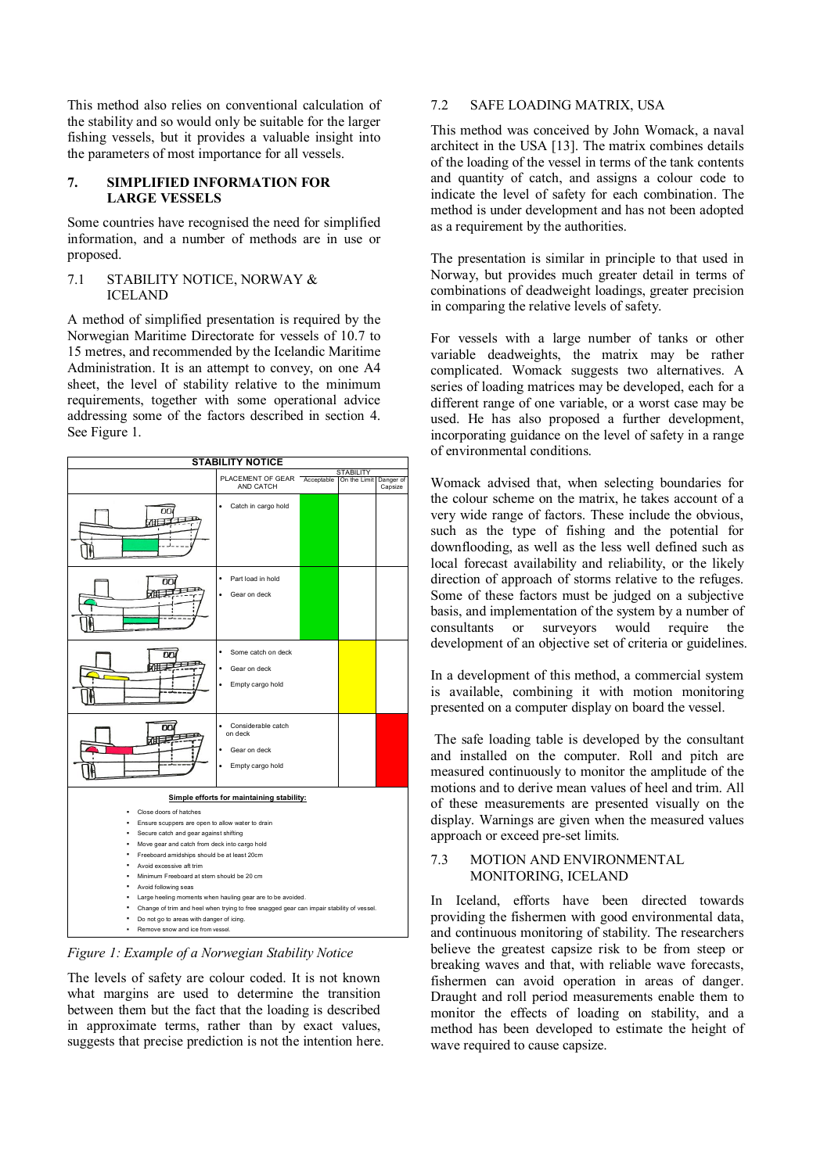This method also relies on conventional calculation of the stability and so would only be suitable for the larger fishing vessels, but it provides a valuable insight into the parameters of most importance for all vessels.

# **7. SIMPLIFIED INFORMATION FOR LARGE VESSELS**

Some countries have recognised the need for simplified information, and a number of methods are in use or proposed.

### 7.1 STABILITY NOTICE, NORWAY & ICELAND

A method of simplified presentation is required by the Norwegian Maritime Directorate for vessels of 10.7 to 15 metres, and recommended by the Icelandic Maritime Administration. It is an attempt to convey, on one A4 sheet, the level of stability relative to the minimum requirements, together with some operational advice addressing some of the factors described in section 4. See Figure 1.

| <b>STABILITY NOTICE</b>                                                                                                                                                                                                                                                                                                                                                                                                                                                                                                                                          |                                                                   |            |              |                      |  |
|------------------------------------------------------------------------------------------------------------------------------------------------------------------------------------------------------------------------------------------------------------------------------------------------------------------------------------------------------------------------------------------------------------------------------------------------------------------------------------------------------------------------------------------------------------------|-------------------------------------------------------------------|------------|--------------|----------------------|--|
|                                                                                                                                                                                                                                                                                                                                                                                                                                                                                                                                                                  | PLACEMENT OF GEAR                                                 |            |              | <b>STABILITY</b>     |  |
|                                                                                                                                                                                                                                                                                                                                                                                                                                                                                                                                                                  | AND CATCH                                                         | Acceptable | On the Limit | Danger of<br>Capsize |  |
| nп                                                                                                                                                                                                                                                                                                                                                                                                                                                                                                                                                               | Catch in cargo hold                                               |            |              |                      |  |
|                                                                                                                                                                                                                                                                                                                                                                                                                                                                                                                                                                  | Part load in hold<br>Gear on deck                                 |            |              |                      |  |
|                                                                                                                                                                                                                                                                                                                                                                                                                                                                                                                                                                  | Some catch on deck<br>Gear on deck<br>Empty cargo hold            |            |              |                      |  |
| nn                                                                                                                                                                                                                                                                                                                                                                                                                                                                                                                                                               | Considerable catch<br>on deck<br>Gear on deck<br>Empty cargo hold |            |              |                      |  |
|                                                                                                                                                                                                                                                                                                                                                                                                                                                                                                                                                                  | Simple efforts for maintaining stability:                         |            |              |                      |  |
| Close doors of hatches<br>Ensure scuppers are open to allow water to drain<br>Secure catch and gear against shifting<br>Move gear and catch from deck into cargo hold<br>Freeboard amidships should be at least 20cm<br>Avoid excessive aft trim<br>Minimum Freeboard at stern should be 20 cm<br>Avoid following seas<br>Large heeling moments when hauling gear are to be avoided.<br>Change of trim and heel when trying to free snagged gear can impair stability of vessel.<br>Do not go to areas with danger of icing.<br>Remove snow and ice from vessel. |                                                                   |            |              |                      |  |

*Figure 1: Example of a Norwegian Stability Notice* 

The levels of safety are colour coded. It is not known what margins are used to determine the transition between them but the fact that the loading is described in approximate terms, rather than by exact values, suggests that precise prediction is not the intention here.

# 7.2 SAFE LOADING MATRIX, USA

This method was conceived by John Womack, a naval architect in the USA [13]. The matrix combines details of the loading of the vessel in terms of the tank contents and quantity of catch, and assigns a colour code to indicate the level of safety for each combination. The method is under development and has not been adopted as a requirement by the authorities.

The presentation is similar in principle to that used in Norway, but provides much greater detail in terms of combinations of deadweight loadings, greater precision in comparing the relative levels of safety.

For vessels with a large number of tanks or other variable deadweights, the matrix may be rather complicated. Womack suggests two alternatives. A series of loading matrices may be developed, each for a different range of one variable, or a worst case may be used. He has also proposed a further development, incorporating guidance on the level of safety in a range of environmental conditions.

Womack advised that, when selecting boundaries for the colour scheme on the matrix, he takes account of a very wide range of factors. These include the obvious, such as the type of fishing and the potential for downflooding, as well as the less well defined such as local forecast availability and reliability, or the likely direction of approach of storms relative to the refuges. Some of these factors must be judged on a subjective basis, and implementation of the system by a number of consultants or surveyors would require the development of an objective set of criteria or guidelines.

In a development of this method, a commercial system is available, combining it with motion monitoring presented on a computer display on board the vessel.

The safe loading table is developed by the consultant and installed on the computer. Roll and pitch are measured continuously to monitor the amplitude of the motions and to derive mean values of heel and trim. All of these measurements are presented visually on the display. Warnings are given when the measured values approach or exceed pre-set limits.

#### 7.3 MOTION AND ENVIRONMENTAL MONITORING, ICELAND

In Iceland, efforts have been directed towards providing the fishermen with good environmental data, and continuous monitoring of stability. The researchers believe the greatest capsize risk to be from steep or breaking waves and that, with reliable wave forecasts, fishermen can avoid operation in areas of danger. Draught and roll period measurements enable them to monitor the effects of loading on stability, and a method has been developed to estimate the height of wave required to cause capsize.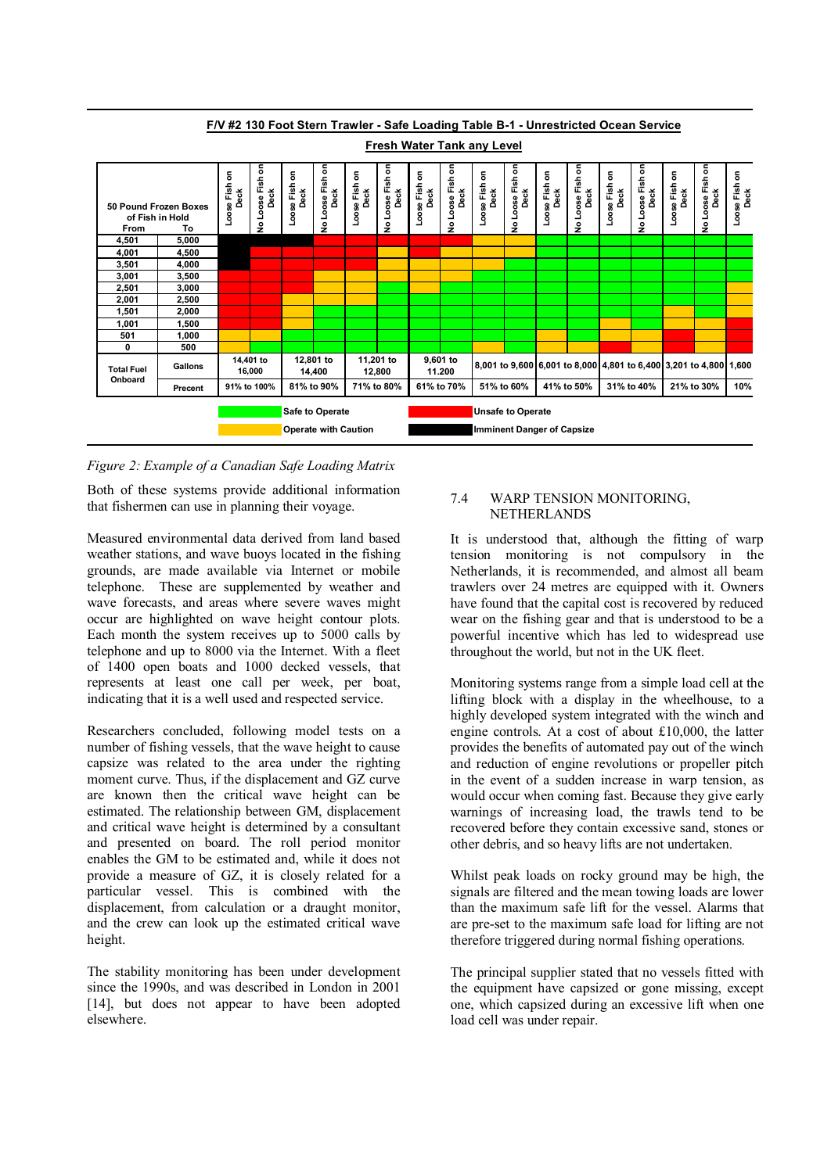

**F/V #2 130 Foot Stern Trawler - Safe Loading Table B-1 - Unrestricted Ocean Service**

# *Figure 2: Example of a Canadian Safe Loading Matrix*

Both of these systems provide additional information that fishermen can use in planning their voyage.

Measured environmental data derived from land based weather stations, and wave buoys located in the fishing grounds, are made available via Internet or mobile telephone. These are supplemented by weather and wave forecasts, and areas where severe waves might occur are highlighted on wave height contour plots. Each month the system receives up to 5000 calls by telephone and up to 8000 via the Internet. With a fleet of 1400 open boats and 1000 decked vessels, that represents at least one call per week, per boat, indicating that it is a well used and respected service.

Researchers concluded, following model tests on a number of fishing vessels, that the wave height to cause capsize was related to the area under the righting moment curve. Thus, if the displacement and GZ curve are known then the critical wave height can be estimated. The relationship between GM, displacement and critical wave height is determined by a consultant and presented on board. The roll period monitor enables the GM to be estimated and, while it does not provide a measure of GZ, it is closely related for a particular vessel. This is combined with the displacement, from calculation or a draught monitor, and the crew can look up the estimated critical wave height.

The stability monitoring has been under development since the 1990s, and was described in London in 2001 [14], but does not appear to have been adopted elsewhere.

## 7.4 WARP TENSION MONITORING, NETHERLANDS

It is understood that, although the fitting of warp tension monitoring is not compulsory in the Netherlands, it is recommended, and almost all beam trawlers over 24 metres are equipped with it. Owners have found that the capital cost is recovered by reduced wear on the fishing gear and that is understood to be a powerful incentive which has led to widespread use throughout the world, but not in the UK fleet.

Monitoring systems range from a simple load cell at the lifting block with a display in the wheelhouse, to a highly developed system integrated with the winch and engine controls. At a cost of about £10,000, the latter provides the benefits of automated pay out of the winch and reduction of engine revolutions or propeller pitch in the event of a sudden increase in warp tension, as would occur when coming fast. Because they give early warnings of increasing load, the trawls tend to be recovered before they contain excessive sand, stones or other debris, and so heavy lifts are not undertaken.

Whilst peak loads on rocky ground may be high, the signals are filtered and the mean towing loads are lower than the maximum safe lift for the vessel. Alarms that are pre-set to the maximum safe load for lifting are not therefore triggered during normal fishing operations.

The principal supplier stated that no vessels fitted with the equipment have capsized or gone missing, except one, which capsized during an excessive lift when one load cell was under repair.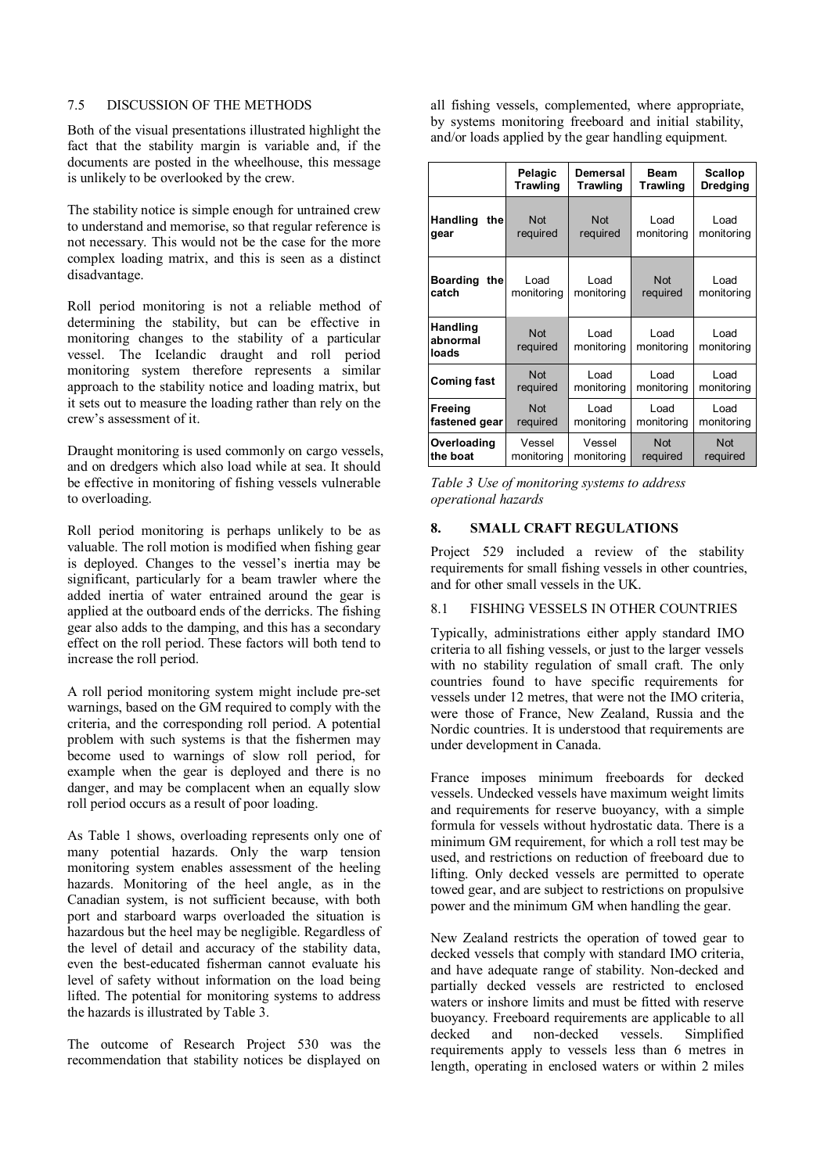### 7.5 DISCUSSION OF THE METHODS

Both of the visual presentations illustrated highlight the fact that the stability margin is variable and, if the documents are posted in the wheelhouse, this message is unlikely to be overlooked by the crew.

The stability notice is simple enough for untrained crew to understand and memorise, so that regular reference is not necessary. This would not be the case for the more complex loading matrix, and this is seen as a distinct disadvantage.

Roll period monitoring is not a reliable method of determining the stability, but can be effective in monitoring changes to the stability of a particular vessel. The Icelandic draught and roll period monitoring system therefore represents a similar approach to the stability notice and loading matrix, but it sets out to measure the loading rather than rely on the crew's assessment of it.

Draught monitoring is used commonly on cargo vessels, and on dredgers which also load while at sea. It should be effective in monitoring of fishing vessels vulnerable to overloading.

Roll period monitoring is perhaps unlikely to be as valuable. The roll motion is modified when fishing gear is deployed. Changes to the vessel's inertia may be significant, particularly for a beam trawler where the added inertia of water entrained around the gear is applied at the outboard ends of the derricks. The fishing gear also adds to the damping, and this has a secondary effect on the roll period. These factors will both tend to increase the roll period.

A roll period monitoring system might include pre-set warnings, based on the GM required to comply with the criteria, and the corresponding roll period. A potential problem with such systems is that the fishermen may become used to warnings of slow roll period, for example when the gear is deployed and there is no danger, and may be complacent when an equally slow roll period occurs as a result of poor loading.

As Table 1 shows, overloading represents only one of many potential hazards. Only the warp tension monitoring system enables assessment of the heeling hazards. Monitoring of the heel angle, as in the Canadian system, is not sufficient because, with both port and starboard warps overloaded the situation is hazardous but the heel may be negligible. Regardless of the level of detail and accuracy of the stability data, even the best-educated fisherman cannot evaluate his level of safety without information on the load being lifted. The potential for monitoring systems to address the hazards is illustrated by Table 3.

The outcome of Research Project 530 was the recommendation that stability notices be displayed on

all fishing vessels, complemented, where appropriate, by systems monitoring freeboard and initial stability, and/or loads applied by the gear handling equipment.

|                                 | Pelagic                | Demersal               | <b>Beam</b>            | Scallop            |
|---------------------------------|------------------------|------------------------|------------------------|--------------------|
|                                 | <b>Trawling</b>        | Trawling               | Trawling               | <b>Dredging</b>    |
| <b>Handling</b><br>the<br>gear  | <b>Not</b><br>required | <b>Not</b><br>required | Load<br>monitoring     | Load<br>monitoring |
| <b>Boarding</b><br>the<br>catch | Load<br>monitoring     | Load<br>monitoring     | <b>Not</b><br>required | Load<br>monitoring |
| Handling<br>abnormal<br>loads   | <b>Not</b><br>required | Load<br>monitoring     | Load<br>monitoring     | Load<br>monitoring |
| <b>Coming fast</b>              | <b>Not</b>             | Load                   | Load                   | Load               |
|                                 | required               | monitoring             | monitoring             | monitoring         |
| Freeing                         | <b>Not</b>             | Load                   | Load                   | Load               |
| fastened gear                   | required               | monitoring             | monitoring             | monitoring         |
| Overloading                     | Vessel                 | Vessel                 | <b>Not</b>             | <b>Not</b>         |
| the boat                        | monitoring             | monitoring             | required               | required           |

*Table 3 Use of monitoring systems to address operational hazards* 

#### **8. SMALL CRAFT REGULATIONS**

Project 529 included a review of the stability requirements for small fishing vessels in other countries, and for other small vessels in the UK.

# 8.1 FISHING VESSELS IN OTHER COUNTRIES

Typically, administrations either apply standard IMO criteria to all fishing vessels, or just to the larger vessels with no stability regulation of small craft. The only countries found to have specific requirements for vessels under 12 metres, that were not the IMO criteria, were those of France, New Zealand, Russia and the Nordic countries. It is understood that requirements are under development in Canada.

France imposes minimum freeboards for decked vessels. Undecked vessels have maximum weight limits and requirements for reserve buoyancy, with a simple formula for vessels without hydrostatic data. There is a minimum GM requirement, for which a roll test may be used, and restrictions on reduction of freeboard due to lifting. Only decked vessels are permitted to operate towed gear, and are subject to restrictions on propulsive power and the minimum GM when handling the gear.

New Zealand restricts the operation of towed gear to decked vessels that comply with standard IMO criteria, and have adequate range of stability. Non-decked and partially decked vessels are restricted to enclosed waters or inshore limits and must be fitted with reserve buoyancy. Freeboard requirements are applicable to all decked and non-decked vessels. Simplified requirements apply to vessels less than 6 metres in length, operating in enclosed waters or within 2 miles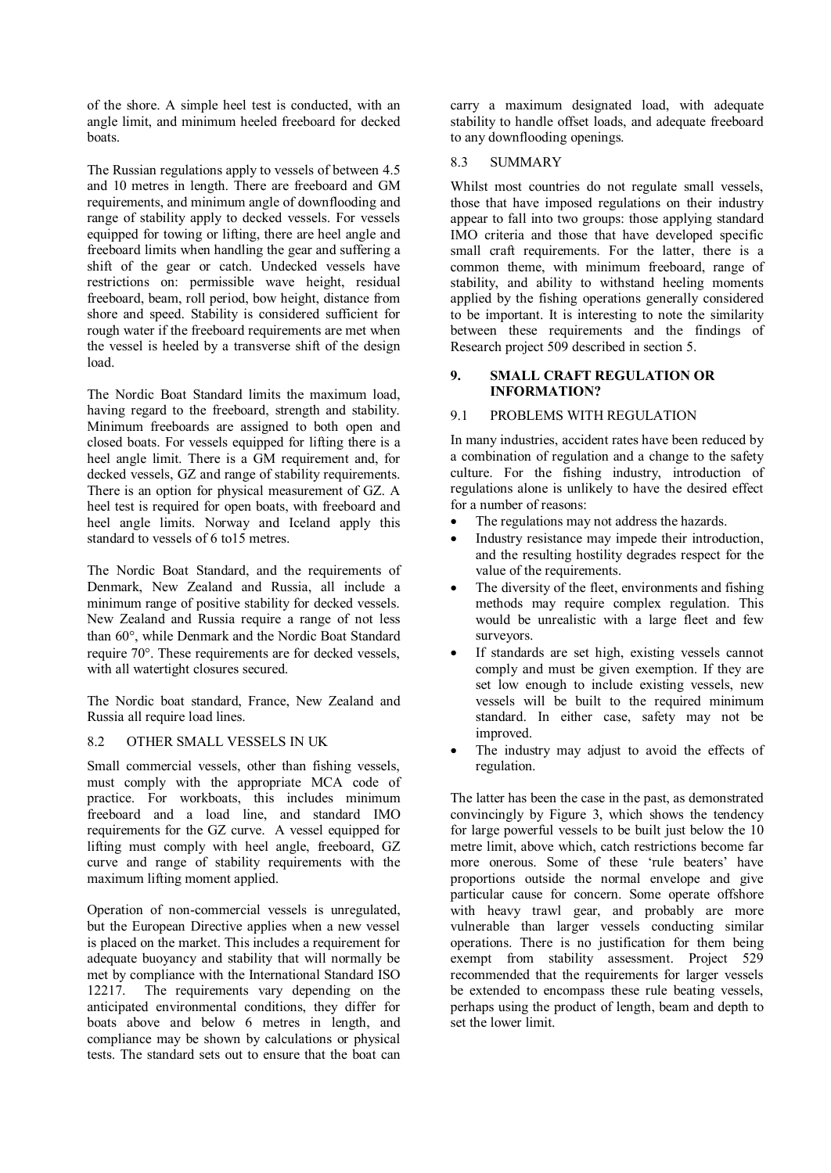of the shore. A simple heel test is conducted, with an angle limit, and minimum heeled freeboard for decked boats.

The Russian regulations apply to vessels of between 4.5 and 10 metres in length. There are freeboard and GM requirements, and minimum angle of downflooding and range of stability apply to decked vessels. For vessels equipped for towing or lifting, there are heel angle and freeboard limits when handling the gear and suffering a shift of the gear or catch. Undecked vessels have restrictions on: permissible wave height, residual freeboard, beam, roll period, bow height, distance from shore and speed. Stability is considered sufficient for rough water if the freeboard requirements are met when the vessel is heeled by a transverse shift of the design load.

The Nordic Boat Standard limits the maximum load, having regard to the freeboard, strength and stability. Minimum freeboards are assigned to both open and closed boats. For vessels equipped for lifting there is a heel angle limit. There is a GM requirement and, for decked vessels, GZ and range of stability requirements. There is an option for physical measurement of GZ. A heel test is required for open boats, with freeboard and heel angle limits. Norway and Iceland apply this standard to vessels of 6 to15 metres.

The Nordic Boat Standard, and the requirements of Denmark, New Zealand and Russia, all include a minimum range of positive stability for decked vessels. New Zealand and Russia require a range of not less than 60°, while Denmark and the Nordic Boat Standard require 70°. These requirements are for decked vessels, with all watertight closures secured.

The Nordic boat standard, France, New Zealand and Russia all require load lines.

### 8.2 OTHER SMALL VESSELS IN UK

Small commercial vessels, other than fishing vessels, must comply with the appropriate MCA code of practice. For workboats, this includes minimum freeboard and a load line, and standard IMO requirements for the GZ curve. A vessel equipped for lifting must comply with heel angle, freeboard, GZ curve and range of stability requirements with the maximum lifting moment applied.

Operation of non-commercial vessels is unregulated, but the European Directive applies when a new vessel is placed on the market. This includes a requirement for adequate buoyancy and stability that will normally be met by compliance with the International Standard ISO 12217. The requirements vary depending on the anticipated environmental conditions, they differ for boats above and below 6 metres in length, and compliance may be shown by calculations or physical tests. The standard sets out to ensure that the boat can

carry a maximum designated load, with adequate stability to handle offset loads, and adequate freeboard to any downflooding openings.

#### 8.3 SUMMARY

Whilst most countries do not regulate small vessels, those that have imposed regulations on their industry appear to fall into two groups: those applying standard IMO criteria and those that have developed specific small craft requirements. For the latter, there is a common theme, with minimum freeboard, range of stability, and ability to withstand heeling moments applied by the fishing operations generally considered to be important. It is interesting to note the similarity between these requirements and the findings of Research project 509 described in section 5.

### **9. SMALL CRAFT REGULATION OR INFORMATION?**

## 9.1 PROBLEMS WITH REGULATION

In many industries, accident rates have been reduced by a combination of regulation and a change to the safety culture. For the fishing industry, introduction of regulations alone is unlikely to have the desired effect for a number of reasons:

- The regulations may not address the hazards.
- Industry resistance may impede their introduction, and the resulting hostility degrades respect for the value of the requirements.
- The diversity of the fleet, environments and fishing methods may require complex regulation. This would be unrealistic with a large fleet and few surveyors.
- If standards are set high, existing vessels cannot comply and must be given exemption. If they are set low enough to include existing vessels, new vessels will be built to the required minimum standard. In either case, safety may not be improved.
- The industry may adjust to avoid the effects of regulation.

The latter has been the case in the past, as demonstrated convincingly by Figure 3, which shows the tendency for large powerful vessels to be built just below the 10 metre limit, above which, catch restrictions become far more onerous. Some of these 'rule beaters' have proportions outside the normal envelope and give particular cause for concern. Some operate offshore with heavy trawl gear, and probably are more vulnerable than larger vessels conducting similar operations. There is no justification for them being exempt from stability assessment. Project 529 recommended that the requirements for larger vessels be extended to encompass these rule beating vessels, perhaps using the product of length, beam and depth to set the lower limit.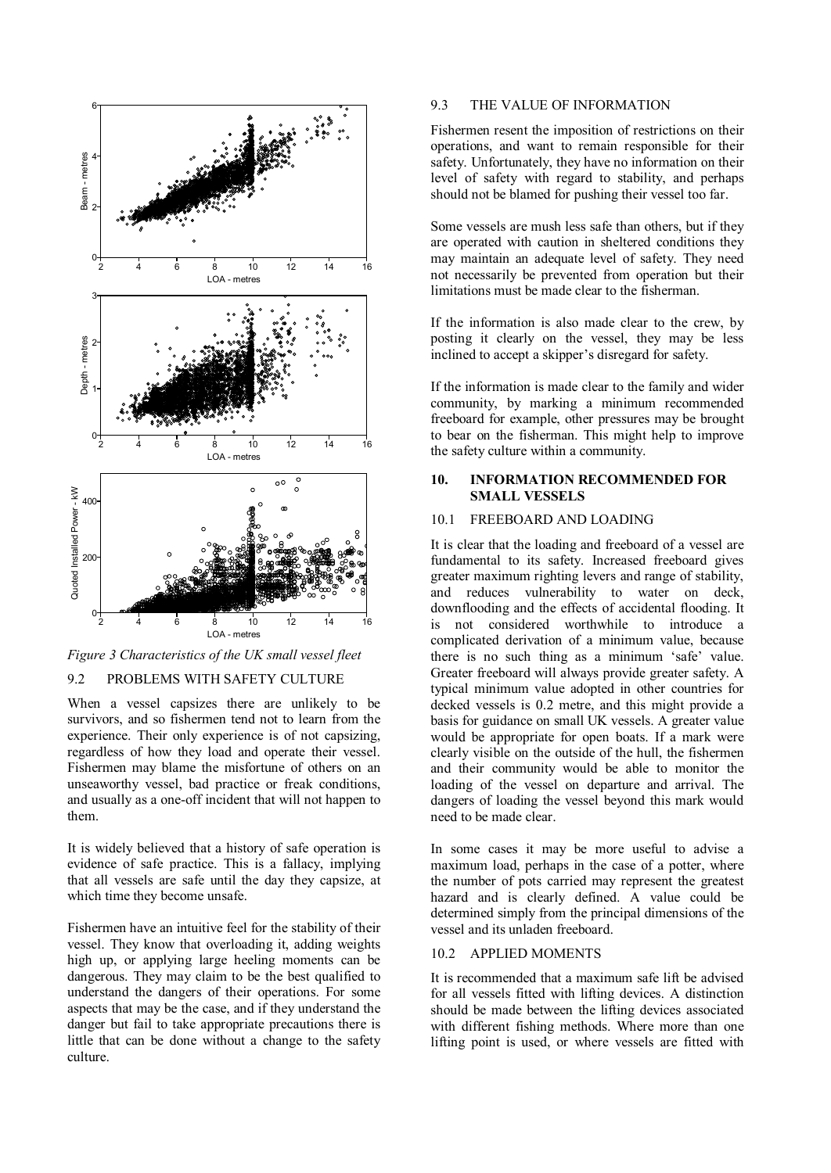

*Figure 3 Characteristics of the UK small vessel fleet* 

## 9.2 PROBLEMS WITH SAFETY CULTURE

When a vessel capsizes there are unlikely to be survivors, and so fishermen tend not to learn from the experience. Their only experience is of not capsizing, regardless of how they load and operate their vessel. Fishermen may blame the misfortune of others on an unseaworthy vessel, bad practice or freak conditions, and usually as a one-off incident that will not happen to them.

It is widely believed that a history of safe operation is evidence of safe practice. This is a fallacy, implying that all vessels are safe until the day they capsize, at which time they become unsafe.

Fishermen have an intuitive feel for the stability of their vessel. They know that overloading it, adding weights high up, or applying large heeling moments can be dangerous. They may claim to be the best qualified to understand the dangers of their operations. For some aspects that may be the case, and if they understand the danger but fail to take appropriate precautions there is little that can be done without a change to the safety culture.

#### 9.3 THE VALUE OF INFORMATION

Fishermen resent the imposition of restrictions on their operations, and want to remain responsible for their safety. Unfortunately, they have no information on their level of safety with regard to stability, and perhaps should not be blamed for pushing their vessel too far.

Some vessels are mush less safe than others, but if they are operated with caution in sheltered conditions they may maintain an adequate level of safety. They need not necessarily be prevented from operation but their limitations must be made clear to the fisherman.

If the information is also made clear to the crew, by posting it clearly on the vessel, they may be less inclined to accept a skipper's disregard for safety.

If the information is made clear to the family and wider community, by marking a minimum recommended freeboard for example, other pressures may be brought to bear on the fisherman. This might help to improve the safety culture within a community.

### **10. INFORMATION RECOMMENDED FOR SMALL VESSELS**

### 10.1 FREEBOARD AND LOADING

It is clear that the loading and freeboard of a vessel are fundamental to its safety. Increased freeboard gives greater maximum righting levers and range of stability, and reduces vulnerability to water on deck, downflooding and the effects of accidental flooding. It is not considered worthwhile to introduce a complicated derivation of a minimum value, because there is no such thing as a minimum 'safe' value. Greater freeboard will always provide greater safety. A typical minimum value adopted in other countries for decked vessels is 0.2 metre, and this might provide a basis for guidance on small UK vessels. A greater value would be appropriate for open boats. If a mark were clearly visible on the outside of the hull, the fishermen and their community would be able to monitor the loading of the vessel on departure and arrival. The dangers of loading the vessel beyond this mark would need to be made clear.

In some cases it may be more useful to advise a maximum load, perhaps in the case of a potter, where the number of pots carried may represent the greatest hazard and is clearly defined. A value could be determined simply from the principal dimensions of the vessel and its unladen freeboard.

#### 10.2 APPLIED MOMENTS

It is recommended that a maximum safe lift be advised for all vessels fitted with lifting devices. A distinction should be made between the lifting devices associated with different fishing methods. Where more than one lifting point is used, or where vessels are fitted with